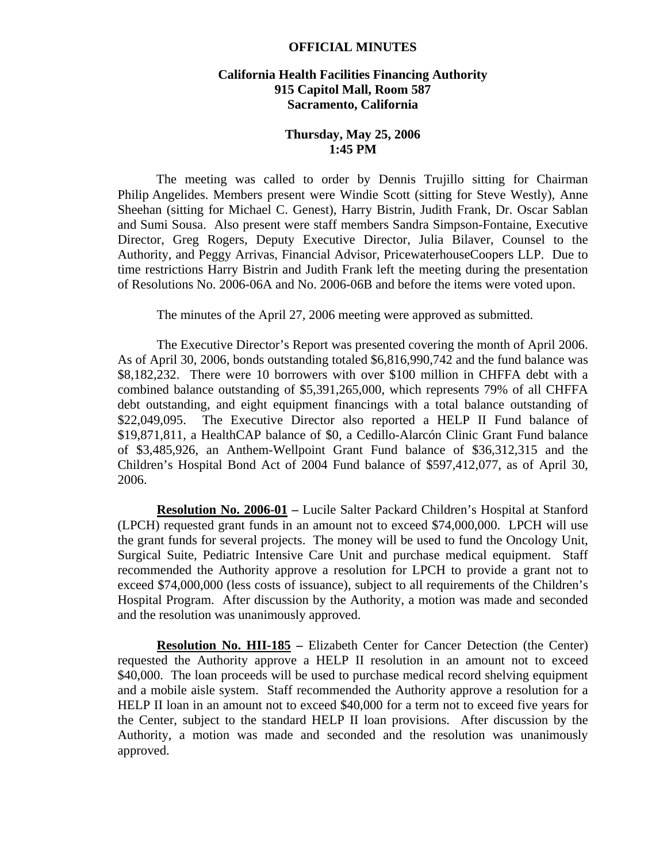## **OFFICIAL MINUTES**

## **California Health Facilities Financing Authority 915 Capitol Mall, Room 587 Sacramento, California**

## **Thursday, May 25, 2006 1:45 PM**

 The meeting was called to order by Dennis Trujillo sitting for Chairman Philip Angelides. Members present were Windie Scott (sitting for Steve Westly), Anne Sheehan (sitting for Michael C. Genest), Harry Bistrin, Judith Frank, Dr. Oscar Sablan and Sumi Sousa. Also present were staff members Sandra Simpson-Fontaine, Executive Director, Greg Rogers, Deputy Executive Director, Julia Bilaver, Counsel to the Authority, and Peggy Arrivas, Financial Advisor, PricewaterhouseCoopers LLP. Due to time restrictions Harry Bistrin and Judith Frank left the meeting during the presentation of Resolutions No. 2006-06A and No. 2006-06B and before the items were voted upon.

The minutes of the April 27, 2006 meeting were approved as submitted.

 The Executive Director's Report was presented covering the month of April 2006. As of April 30, 2006, bonds outstanding totaled \$6,816,990,742 and the fund balance was \$8,182,232. There were 10 borrowers with over \$100 million in CHFFA debt with a combined balance outstanding of \$5,391,265,000, which represents 79% of all CHFFA debt outstanding, and eight equipment financings with a total balance outstanding of \$22,049,095. The Executive Director also reported a HELP II Fund balance of \$19,871,811, a HealthCAP balance of \$0, a Cedillo-Alarcón Clinic Grant Fund balance of \$3,485,926, an Anthem-Wellpoint Grant Fund balance of \$36,312,315 and the Children's Hospital Bond Act of 2004 Fund balance of \$597,412,077, as of April 30, 2006.

**Resolution No. 2006-01 –** Lucile Salter Packard Children's Hospital at Stanford (LPCH) requested grant funds in an amount not to exceed \$74,000,000. LPCH will use the grant funds for several projects. The money will be used to fund the Oncology Unit, Surgical Suite, Pediatric Intensive Care Unit and purchase medical equipment. Staff recommended the Authority approve a resolution for LPCH to provide a grant not to exceed \$74,000,000 (less costs of issuance), subject to all requirements of the Children's Hospital Program. After discussion by the Authority, a motion was made and seconded and the resolution was unanimously approved.

**Resolution No. HII-185 –** Elizabeth Center for Cancer Detection (the Center) requested the Authority approve a HELP II resolution in an amount not to exceed \$40,000. The loan proceeds will be used to purchase medical record shelving equipment and a mobile aisle system. Staff recommended the Authority approve a resolution for a HELP II loan in an amount not to exceed \$40,000 for a term not to exceed five years for the Center, subject to the standard HELP II loan provisions. After discussion by the Authority, a motion was made and seconded and the resolution was unanimously approved.